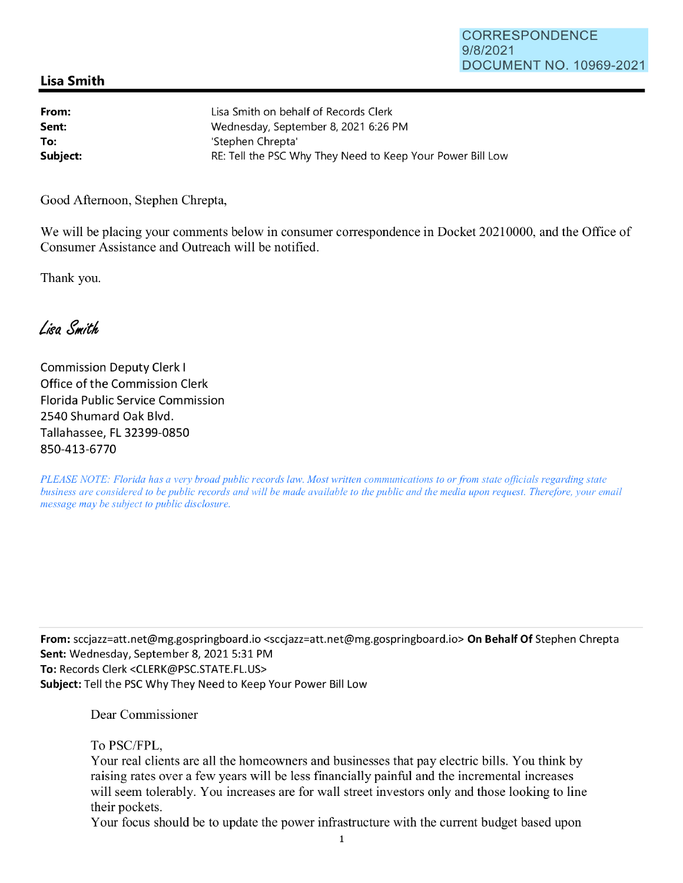## CORRESPONDENCE 9/8/2021 DOCUMENT NO. 10969-2021

## **Lisa Smith**

| From:    | Lisa Smith on behalf of Records Clerk                      |
|----------|------------------------------------------------------------|
| Sent:    | Wednesday, September 8, 2021 6:26 PM                       |
| To:      | 'Stephen Chrepta'                                          |
| Subject: | RE: Tell the PSC Why They Need to Keep Your Power Bill Low |

Good Afternoon, Stephen Chrepta,

We will be placing your comments below in consumer correspondence in Docket 20210000, and the Office of Consumer Assistance and Outreach will be notified.

Thank you.

Lisa Smith

Commission Deputy Clerk I Office of the Commission Clerk Florida Public Service Commission 2540 Shumard Oak Blvd. Tallahassee, FL 32399-0850 850-413-6770

*PLEASE NOTE: Florida has a very broad public records law. Most written communications to or from state officials regarding state business are considered to be public records and will be made available to the public and the media upon request. Therefore, your email message may be subject to public disclosure.* 

**From:** sccjazz=att.net@mg.gospringboard.io <sccjazz=att.net@mg.gospringboard.io> **On Behalf Of** Stephen Chrepta **Sent:** Wednesday, September 8, 2021 5:31 PM **To:** Records Clerk <CLERK@PSC.STATE.FL.US> **Subject:** Tell the PSC Why They Need to Keep Your Power Bill Low

Dear Commissioner

To PSC/FPL,

Your real clients are all the homeowners and businesses that pay electric bills. You think by raising rates over a few years will be less financially painful and the incremental increases will seem tolerably. You increases are for wall street investors only and those looking to line their pockets.

Your focus should be to update the power infrastructure with the current budget based upon